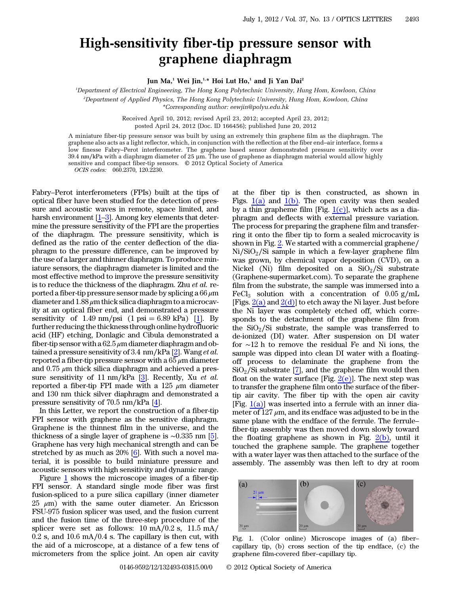## High-sensitivity fiber-tip pressure sensor with graphene diaphragm

Jun Ma,<sup>1</sup> Wei Jin,<sup>1,\*</sup> Hoi Lut Ho,<sup>1</sup> and Ji Yan Dai<sup>2</sup>

1 Department of Electrical Engineering, The Hong Kong Polytechnic University, Hung Hom, Kowloon, China 2 Department of Applied Physics, The Hong Kong Polytechnic University, Hung Hom, Kowloon, China \*Corresponding author: eewjin@polyu.edu.hk

> Received April 10, 2012; revised April 23, 2012; accepted April 23, 2012; posted April 24, 2012 (Doc. ID 166456); published June 20, 2012

A miniature fiber-tip pressure sensor was built by using an extremely thin graphene film as the diaphragm. The graphene also acts as a light reflector, which, in conjunction with the reflection at the fiber end–air interface, forms a low finesse Fabry–Perot interferometer. The graphene based sensor demonstrated pressure sensitivity over 39.4 nm∕kPa with a diaphragm diameter of 25 μm. The use of graphene as diaphragm material would allow highly sensitive and compact fiber-tip sensors. © 2012 Optical Society of America

OCIS codes: 060.2370, 120.2230.

Fabry–Perot interferometers (FPIs) built at the tips of optical fiber have been studied for the detection of pressure and acoustic waves in remote, space limited, and harsh environment  $[1-3]$  $[1-3]$  $[1-3]$  $[1-3]$ . Among key elements that determine the pressure sensitivity of the FPI are the properties of the diaphragm. The pressure sensitivity, which is defined as the ratio of the center deflection of the diaphragm to the pressure difference, can be improved by the use of a larger and thinner diaphragm. To produce miniature sensors, the diaphragm diameter is limited and the most effective method to improve the pressure sensitivity is to reduce the thickness of the diaphragm. Zhu et al. reported a fiber-tip pressure sensor made by splicing a  $66 \mu m$ diameter and  $1.88 \mu$ m thick silica diaphragm to a microcavity at an optical fiber end, and demonstrated a pressure sensitivity of 1.49 nm/psi  $(1 \text{ psi} = 6.89 \text{ kPa})$  [[1\]](#page-2-0). By further reducing the thickness through online hydrofluoric acid (HF) etching, Donlagic and Cibula demonstrated a fiber-tip sensor with a  $62.5 \mu$ m diameter diaphragm and obtained a pressure sensitivity of 3.4 nm∕kPa [\[2](#page-2-2)]. Wang et al. reported a fiber-tip pressure sensor with a  $65 \mu m$  diameter and  $0.75 \mu$ m thick silica diaphragm and achieved a pres-sure sensitivity of 11 nm/kPa [[3\]](#page-2-1). Recently, Xu *et al.* reported a fiber-tip FPI made with a  $125 \mu m$  diameter and 130 nm thick silver diaphragm and demonstrated a pressure sensitivity of 70.5 nm∕kPa [\[4](#page-2-3)].

In this Letter, we report the construction of a fiber-tip FPI sensor with graphene as the sensitive diaphragm. Graphene is the thinnest film in the universe, and the thickness of a single layer of graphene is ∼0.335 nm [\[5](#page-2-4)]. Graphene has very high mechanical strength and can be stretched by as much as 20% [[6\]](#page-2-5). With such a novel material, it is possible to build miniature pressure and acoustic sensors with high sensitivity and dynamic range.

Figure [1](#page-0-0) shows the microscope images of a fiber-tip FPI sensor. A standard single mode fiber was first fusion-spliced to a pure silica capillary (inner diameter 25  $\mu$ m) with the same outer diameter. An Ericsson FSU-975 fusion splicer was used, and the fusion current and the fusion time of the three-step procedure of the splicer were set as follows: 10 mA∕0.2 s, 11.5 mA∕ 0.2 s, and 10.6 mA∕0.4 s. The capillary is then cut, with the aid of a microscope, at a distance of a few tens of micrometers from the splice joint. An open air cavity

Figs.  $1(a)$  and  $1(b)$ . The open cavity was then sealed by a thin grapheme film [Fig.  $1(c)$ ], which acts as a diaphragm and deflects with external pressure variation. The process for preparing the graphene film and transferring it onto the fiber tip to form a sealed microcavity is shown in Fig. [2.](#page-1-0) We started with a commercial graphene∕ Ni/SiO<sub>2</sub>/Si sample in which a few-layer graphene film was grown, by chemical vapor deposition (CVD), on a Nickel (Ni) film deposited on a  $SiO_2/Si$  substrate (Graphene-supermarket.com). To separate the graphene film from the substrate, the sample was immersed into a FeCl<sub>3</sub> solution with a concentration of  $0.05$  g/mL [Figs.  $2(a)$  and  $2(d)$ ] to etch away the Ni layer. Just before the Ni layer was completely etched off, which corresponds to the detachment of the graphene film from the  $SiO<sub>2</sub>/Si$  substrate, the sample was transferred to de-ionized (DI) water. After suspension on DI water for ∼12 h to remove the residual Fe and Ni ions, the sample was dipped into clean DI water with a floatingoff process to delaminate the graphene from the  $SiO<sub>2</sub>/Si$  substrate [[7\]](#page-2-6), and the graphene film would then float on the water surface [Fig.  $2(e)$ ]. The next step was to transfer the graphene film onto the surface of the fibertip air cavity. The fiber tip with the open air cavity [Fig.  $1(a)$ ] was inserted into a ferrule with an inner diameter of  $127 \mu m$ , and its endface was adjusted to be in the same plane with the endface of the ferrule. The ferrule– fiber-tip assembly was then moved down slowly toward the floating graphene as shown in Fig.  $2(b)$ , until it touched the graphene sample. The graphene together with a water layer was then attached to the surface of the assembly. The assembly was then left to dry at room

at the fiber tip is then constructed, as shown in

<span id="page-0-0"></span>

Fig. 1. (Color online) Microscope images of (a) fiber– capillary tip, (b) cross section of the tip endface, (c) the graphene film-covered fiber–capillary tip.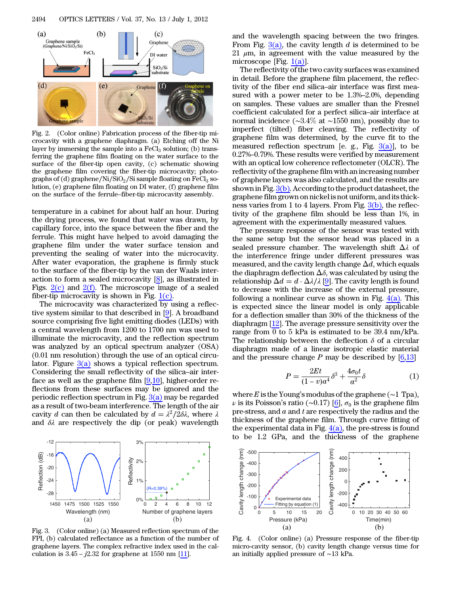<span id="page-1-0"></span>

Fig. 2. (Color online) Fabrication process of the fiber-tip microcavity with a graphene diaphragm. (a) Etching off the Ni layer by immersing the sample into a  $FeCl<sub>3</sub>$  solution; (b) transferring the graphene film floating on the water surface to the surface of the fiber-tip open cavity, (c) schematic showing the graphene film covering the fiber-tip microcavity; photographs of (d) graphene/Ni/SiO<sub>2</sub>/Si sample floating on FeCl<sub>3</sub> solution, (e) graphene film floating on DI water, (f) graphene film on the surface of the ferrule–fiber-tip microcavity assembly.

temperature in a cabinet for about half an hour. During the drying process, we found that water was drawn, by capillary force, into the space between the fiber and the ferrule. This might have helped to avoid damaging the graphene film under the water surface tension and preventing the sealing of water into the microcavity. After water evaporation, the graphene is firmly stuck to the surface of the fiber-tip by the van der Waals interaction to form a sealed microcavity [[8\]](#page-2-7), as illustrated in Figs.  $2(c)$  and  $2(f)$ . The microscope image of a sealed fiber-tip microcavity is shown in Fig.  $1(c)$ .

The microcavity was characterized by using a reflective system similar to that described in [[9\]](#page-2-8). A broadband source comprising five light emitting diodes (LEDs) with a central wavelength from 1200 to 1700 nm was used to illuminate the microcavity, and the reflection spectrum was analyzed by an optical spectrum analyzer (OSA) (0.01 nm resolution) through the use of an optical circulator. Figure  $3(a)$  shows a typical reflection spectrum. Considering the small reflectivity of the silica–air interface as well as the graphene film  $[9,10]$  $[9,10]$  $[9,10]$ , higher-order reflections from these surfaces may be ignored and the periodic reflection spectrum in Fig.  $3(a)$  may be regarded as a result of two-beam interference. The length of the air cavity d can then be calculated by  $d = \lambda^2/2\delta\lambda$ , where  $\lambda$ and  $\delta\lambda$  are respectively the dip (or peak) wavelength

<span id="page-1-1"></span>

Fig. 3. (Color online) (a) Measured reflection spectrum of the FPI, (b) calculated reflectance as a function of the number of graphene layers. The complex refractive index used in the calculation is  $3.45 - j2.32$  for graph FPI, (b) calculated reflectance as a function of the number of graphene layers. The complex refractive index used in the cal-

and the wavelength spacing between the two fringes. From Fig.  $3(a)$ , the cavity length d is determined to be 21  $\mu$ m, in agreement with the value measured by the microscope [Fig.  $1(a)$ ].

The reflectivity of the two cavity surfaces was examined in detail. Before the graphene film placement, the reflectivity of the fiber end silica–air interface was first measured with a power meter to be 1.3%–2.0%, depending on samples. These values are smaller than the Fresnel coefficient calculated for a perfect silica–air interface at normal incidence (∼3.4*%* at ∼1550 nm), possibly due to imperfect (tilted) fiber cleaving. The reflectivity of graphene film was determined, by the curve fit to the measured reflection spectrum [e. g., Fig.  $3(a)$ ], to be 0.27%–0.79%. These results were verified by measurement with an optical low coherence reflectometer (OLCR). The reflectivity of the graphene film with an increasing number of graphene layers was also calculated, and the results are shown in Fig. [3\(b\).](#page-1-1) According to the product datasheet, the graphene film grown on nickel is not uniform, and its thickness varies from 1 to 4 layers. From Fig.  $3(b)$ , the reflectivity of the graphene film should be less than 1%, in agreement with the experimentally measured values.

The pressure response of the sensor was tested with the same setup but the sensor head was placed in a sealed pressure chamber. The wavelength shift  $\Delta \lambda$  of the interference fringe under different pressures was measured, and the cavity length change  $\Delta d$ , which equals the diaphragm deflection  $\Delta \delta$ , was calculated by using the relationship  $\Delta d = d \cdot \Delta \lambda / \lambda$  [\[9](#page-2-8)]. The cavity length is found to decrease with the increase of the external pressure, following a nonlinear curve as shown in Fig.  $4(a)$ . This is expected since the linear model is only applicable for a deflection smaller than 30% of the thickness of the diaphragm [[12\]](#page-2-10). The average pressure sensitivity over the range from 0 to 5 kPa is estimated to be 39.4 nm∕kPa. The relationship between the deflection  $\delta$  of a circular diaphragm made of a linear isotropic elastic material

<span id="page-1-3"></span>and the pressure change P may be described by [6,13]  

$$
P = \frac{2Et}{(1-v)a^4} \delta^3 + \frac{4\sigma_0 t}{a^2} \delta
$$
 (1)

where E is the Young's modulus of the graphene ( $\sim$ 1 Tpa),  $\nu$  is its Poisson's ratio (∼0.17) [\[6](#page-2-5)],  $\sigma_0$  is the graphene film pre-stress, and  $a$  and  $t$  are respectively the radius and the thickness of the graphene film. Through curve fitting of the experimental data in Fig.  $4(a)$ , the pre-stress is found to be 1.2 GPa, and the thickness of the graphene

<span id="page-1-2"></span>

Fig. 4. (Color online) (a) Pressure response of the fiber-tip micro-cavity sensor, (b) cavity length change versus time for an initially applied pressure of ∼13 kPa.